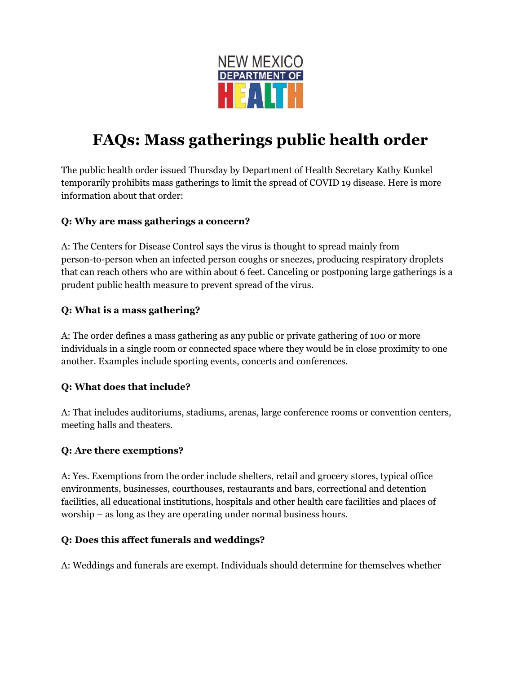

# **FAQs: Mass gatherings public health order**

The public health order issued Thursday by Department of Health Secretary Kathy Kunkel temporarily prohibits mass gatherings to limit the spread of COVID 19 disease. Here is more information about that order:

#### **Q: Why are mass gatherings a concern?**

A: The Centers for Disease Control says the virus is thought to spread mainly from person-to-person when an infected person coughs or sneezes, producing respiratory droplets that can reach others who are within about 6 feet. Canceling or postponing large gatherings is a prudent public health measure to prevent spread of the virus.

#### **Q: What is a mass gathering?**

A: The order defines a mass gathering as any public or private gathering of 100 or more individuals in a single room or connected space where they would be in close proximity to one another. Examples include sporting events, concerts and conferences.

### **Q: What does that include?**

A: That includes auditoriums, stadiums, arenas, large conference rooms or convention centers, meeting halls and theaters.

#### **Q: Are there exemptions?**

A: Yes. Exemptions from the order include shelters, retail and grocery stores, typical office environments, businesses, courthouses, restaurants and bars, correctional and detention facilities, all educational institutions, hospitals and other health care facilities and places of worship – as long as they are operating under normal business hours.

#### **Q: Does this affect funerals and weddings?**

A: Weddings and funerals are exempt. Individuals should determine for themselves whether